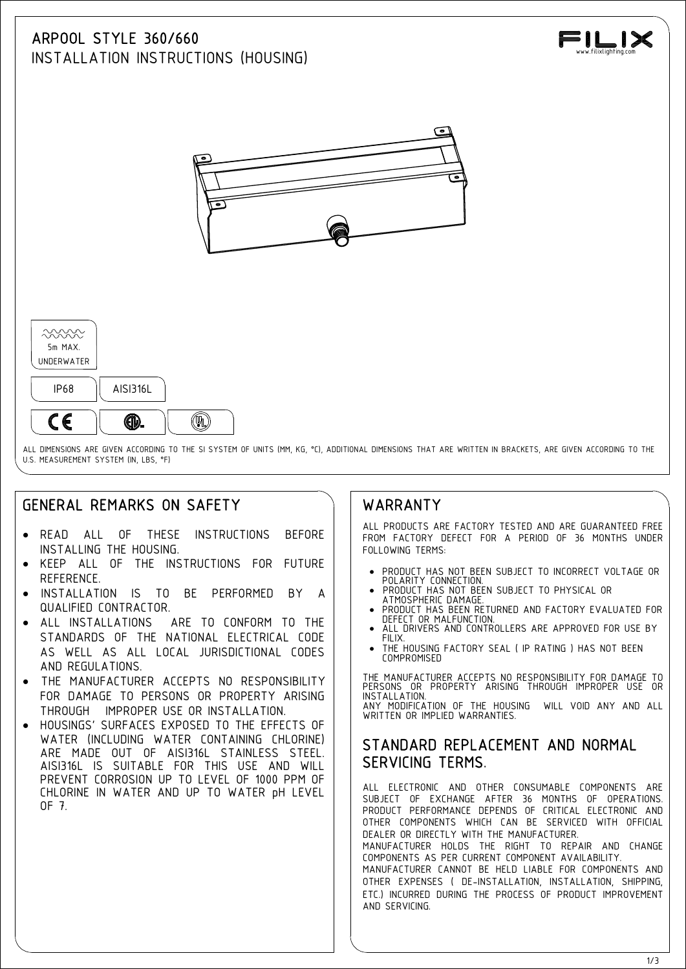# ARPOOL STYLE 360/660



INSTALLATION INSTRUCTIONS (HOUSING)



U.S. MEASUREMENT SYSTEM (IN, LBS, °F)

## GENERAL REMARKS ON SAFETY

- READ ALL OF THESE INSTRUCTIONS BEFORE INSTALLING THE HOUSING.
- · KEEP ALL OF THE INSTRUCTIONS FOR FUTURE REFERENCE.
- INSTALLATION IS TO BE PERFORMED BY A  $\parallel$  PRODUCT HAS NOT BEEN SUBJECT TO PHYSICAL OR QUALIFIED CONTRACTOR.
- ALL INSTALLATIONS ARE TO CONFORM TO THE **INSTALLATION** STANDARDS OF THE NATIONAL ELECTRICAL CODE | | FILIX AS WELL AS ALL LOCAL JURISDICTIONAL CODES AND REGULATIONS.
- THE MANUFACTURER ACCEPTS NO RESPONSIBILITY FOR DAMAGE TO PERSONS OR PROPERTY ARISING | | INST THROUGH IMPROPER USE OR INSTALLATION.
- · HOUSINGS' SURFACES EXPOSED TO THE EFFECTS OF WATER (INCLUDING WATER CONTAINING CHLORINE) ARE MADE OUT OF AISI316L STAINLESS STEEL. AISI316L IS SUITABLE FOR THIS USE AND WILL PREVENT CORROSION UP TO LEVEL OF 1000 PPM OF CHLORINE IN WATER AND UP TO WATER pH LEVEL OF 7.

### WARRANTY

ALL PRODUCTS ARE FACTORY TESTED AND ARE GUARANTEED FREE FROM FACTORY DEFECT FOR A PERIOD OF 36 MONTHS UNDER FOLLOWING TERMS:

- · PRODUCT HAS NOT BEEN SUBJECT TO INCORRECT VOLTAGE OR POLARITY CONNECTION. · PRODUCT HAS NOT BEEN SUBJECT TO PHYSICAL OR
- 
- PRODUCT HAS BEEN RETURNED AND FACTORY EVALUATED FOR
- ALL DRIVERS AND CONTROLLERS ARE APPROVED FOR USE BY
- THE HOUSING FACTORY SEAL ( IP RATING ) HAS NOT BEEN COMPROMISED

THE MANUFACTURER ACCEPTS NO RESPONSIBILITY FOR DAMAGE TO PERSONS OR PROPERTY ARISING THROUGH IMPROPER USE OR INSTALLATION. ALLATION.<br>MODIFICATION OF THE HOUSING WILL VOID ANY AND ALL WRITTEN OR IMPLIED WARRANTIFS.

#### STANDARD REPLACEMENT AND NORMAL SERVICING TERMS.

ALL ELECTRONIC AND OTHER CONSUMABLE COMPONENTS ARE SUBJECT OF EXCHANGE AFTER 36 MONTHS OF OPERATIONS. PRODUCT PERFORMANCE DEPENDS OF CRITICAL ELECTRONIC AND OTHER COMPONENTS WHICH CAN BE SERVICED WITH OFFICIAL DEALER OR DIRECTLY WITH THE MANUFACTURER.

MANUFACTURER HOLDS THE RIGHT TO REPAIR AND CHANGE COMPONENTS AS PER CURRENT COMPONENT AVAILABILITY. MANUFACTURER CANNOT BE HELD LIABLE FOR COMPONENTS AND OTHER EXPENSES ( DE-INSTALLATION, INSTALLATION, SHIPPING, ETC.) INCURRED DURING THE PROCESS OF PRODUCT IMPROVEMENT AND SERVICING.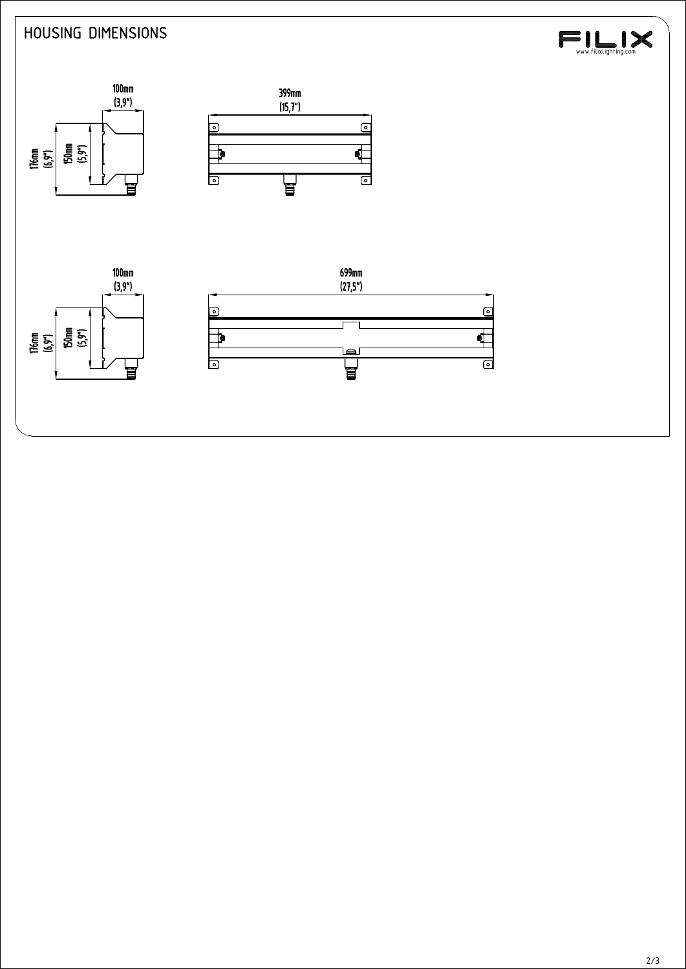